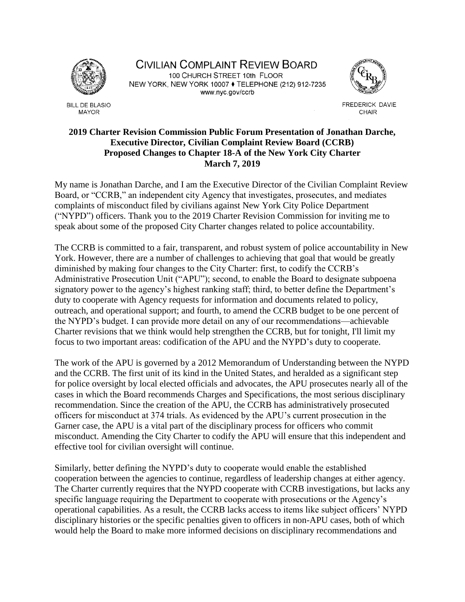

**BILL DE BLASIO MAYOR** 

CIVILIAN COMPLAINT REVIEW BOARD 100 CHURCH STREET 10th FLOOR NEW YORK, NEW YORK 10007 ♦ TELEPHONE (212) 912-7235 www.nyc.gov/ccrb



FREDERICK DAVIE CHAIR

## **2019 Charter Revision Commission Public Forum Presentation of Jonathan Darche, Executive Director, Civilian Complaint Review Board (CCRB) Proposed Changes to Chapter 18-A of the New York City Charter March 7, 2019**

My name is Jonathan Darche, and I am the Executive Director of the Civilian Complaint Review Board, or "CCRB," an independent city Agency that investigates, prosecutes, and mediates complaints of misconduct filed by civilians against New York City Police Department ("NYPD") officers. Thank you to the 2019 Charter Revision Commission for inviting me to speak about some of the proposed City Charter changes related to police accountability.

The CCRB is committed to a fair, transparent, and robust system of police accountability in New York. However, there are a number of challenges to achieving that goal that would be greatly diminished by making four changes to the City Charter: first, to codify the CCRB's Administrative Prosecution Unit ("APU"); second, to enable the Board to designate subpoena signatory power to the agency's highest ranking staff; third, to better define the Department's duty to cooperate with Agency requests for information and documents related to policy, outreach, and operational support; and fourth, to amend the CCRB budget to be one percent of the NYPD's budget. I can provide more detail on any of our recommendations—achievable Charter revisions that we think would help strengthen the CCRB, but for tonight, I'll limit my focus to two important areas: codification of the APU and the NYPD's duty to cooperate.

The work of the APU is governed by a 2012 Memorandum of Understanding between the NYPD and the CCRB. The first unit of its kind in the United States, and heralded as a significant step for police oversight by local elected officials and advocates, the APU prosecutes nearly all of the cases in which the Board recommends Charges and Specifications, the most serious disciplinary recommendation. Since the creation of the APU, the CCRB has administratively prosecuted officers for misconduct at 374 trials. As evidenced by the APU's current prosecution in the Garner case, the APU is a vital part of the disciplinary process for officers who commit misconduct. Amending the City Charter to codify the APU will ensure that this independent and effective tool for civilian oversight will continue.

Similarly, better defining the NYPD's duty to cooperate would enable the established cooperation between the agencies to continue, regardless of leadership changes at either agency. The Charter currently requires that the NYPD cooperate with CCRB investigations, but lacks any specific language requiring the Department to cooperate with prosecutions or the Agency's operational capabilities. As a result, the CCRB lacks access to items like subject officers' NYPD disciplinary histories or the specific penalties given to officers in non-APU cases, both of which would help the Board to make more informed decisions on disciplinary recommendations and